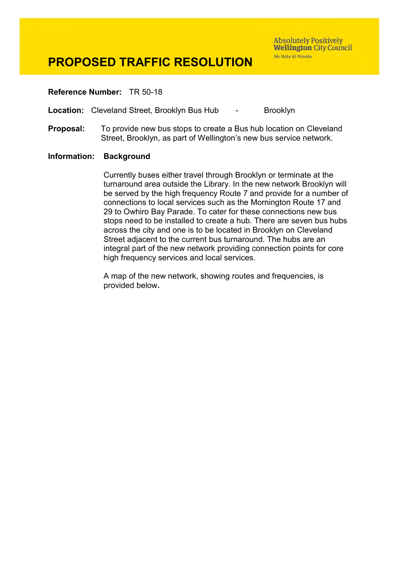**Absolutely Positively Wellington City Council** Me Heke Ki Põneke

### **PROPOSED TRAFFIC RESOLUTION**

#### **Reference Number:** TR 50-18

**Location:** Cleveland Street, Brooklyn Bus Hub - Brooklyn

**Proposal:** To provide new bus stops to create a Bus hub location on Cleveland Street, Brooklyn, as part of Wellington's new bus service network.

#### **Information: Background**

Currently buses either travel through Brooklyn or terminate at the turnaround area outside the Library. In the new network Brooklyn will be served by the high frequency Route 7 and provide for a number of connections to local services such as the Mornington Route 17 and 29 to Owhiro Bay Parade. To cater for these connections new bus stops need to be installed to create a hub. There are seven bus hubs across the city and one is to be located in Brooklyn on Cleveland Street adjacent to the current bus turnaround. The hubs are an integral part of the new network providing connection points for core high frequency services and local services.

A map of the new network, showing routes and frequencies, is provided below**.**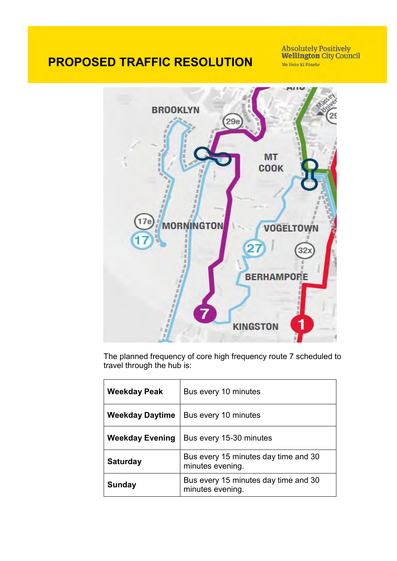**Absolutely Positively<br>Wellington City Council** Me Heke Ki Põneke



The planned frequency of core high frequency route 7 scheduled to travel through the hub is:

| <b>Weekday Peak</b>    | Bus every 10 minutes                                     |  |
|------------------------|----------------------------------------------------------|--|
| <b>Weekday Daytime</b> | Bus every 10 minutes                                     |  |
| <b>Weekday Evening</b> | Bus every 15-30 minutes                                  |  |
| <b>Saturday</b>        | Bus every 15 minutes day time and 30<br>minutes evening. |  |
| Sunday                 | Bus every 15 minutes day time and 30<br>minutes evening. |  |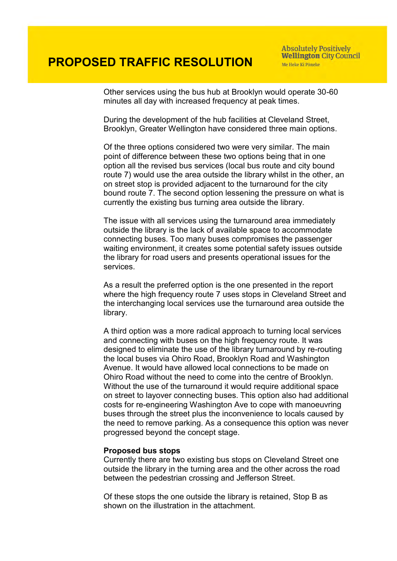**Absolutely Positively Wellington City Council** Me Heke Ki Põneke

Other services using the bus hub at Brooklyn would operate 30-60 minutes all day with increased frequency at peak times.

During the development of the hub facilities at Cleveland Street, Brooklyn, Greater Wellington have considered three main options.

Of the three options considered two were very similar. The main point of difference between these two options being that in one option all the revised bus services (local bus route and city bound route 7) would use the area outside the library whilst in the other, an on street stop is provided adjacent to the turnaround for the city bound route 7. The second option lessening the pressure on what is currently the existing bus turning area outside the library.

The issue with all services using the turnaround area immediately outside the library is the lack of available space to accommodate connecting buses. Too many buses compromises the passenger waiting environment, it creates some potential safety issues outside the library for road users and presents operational issues for the services.

As a result the preferred option is the one presented in the report where the high frequency route 7 uses stops in Cleveland Street and the interchanging local services use the turnaround area outside the library.

A third option was a more radical approach to turning local services and connecting with buses on the high frequency route. It was designed to eliminate the use of the library turnaround by re-routing the local buses via Ohiro Road, Brooklyn Road and Washington Avenue. It would have allowed local connections to be made on Ohiro Road without the need to come into the centre of Brooklyn. Without the use of the turnaround it would require additional space on street to layover connecting buses. This option also had additional costs for re-engineering Washington Ave to cope with manoeuvring buses through the street plus the inconvenience to locals caused by the need to remove parking. As a consequence this option was never progressed beyond the concept stage.

#### **Proposed bus stops**

Currently there are two existing bus stops on Cleveland Street one outside the library in the turning area and the other across the road between the pedestrian crossing and Jefferson Street.

Of these stops the one outside the library is retained, Stop B as shown on the illustration in the attachment.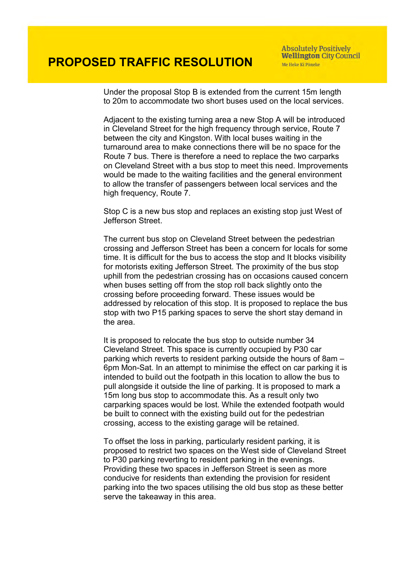Under the proposal Stop B is extended from the current 15m length to 20m to accommodate two short buses used on the local services.

Adjacent to the existing turning area a new Stop A will be introduced in Cleveland Street for the high frequency through service, Route 7 between the city and Kingston. With local buses waiting in the turnaround area to make connections there will be no space for the Route 7 bus. There is therefore a need to replace the two carparks on Cleveland Street with a bus stop to meet this need. Improvements would be made to the waiting facilities and the general environment to allow the transfer of passengers between local services and the high frequency, Route 7.

Stop C is a new bus stop and replaces an existing stop just West of Jefferson Street.

The current bus stop on Cleveland Street between the pedestrian crossing and Jefferson Street has been a concern for locals for some time. It is difficult for the bus to access the stop and It blocks visibility for motorists exiting Jefferson Street. The proximity of the bus stop uphill from the pedestrian crossing has on occasions caused concern when buses setting off from the stop roll back slightly onto the crossing before proceeding forward. These issues would be addressed by relocation of this stop. It is proposed to replace the bus stop with two P15 parking spaces to serve the short stay demand in the area.

It is proposed to relocate the bus stop to outside number 34 Cleveland Street. This space is currently occupied by P30 car parking which reverts to resident parking outside the hours of 8am – 6pm Mon-Sat. In an attempt to minimise the effect on car parking it is intended to build out the footpath in this location to allow the bus to pull alongside it outside the line of parking. It is proposed to mark a 15m long bus stop to accommodate this. As a result only two carparking spaces would be lost. While the extended footpath would be built to connect with the existing build out for the pedestrian crossing, access to the existing garage will be retained.

To offset the loss in parking, particularly resident parking, it is proposed to restrict two spaces on the West side of Cleveland Street to P30 parking reverting to resident parking in the evenings. Providing these two spaces in Jefferson Street is seen as more conducive for residents than extending the provision for resident parking into the two spaces utilising the old bus stop as these better serve the takeaway in this area.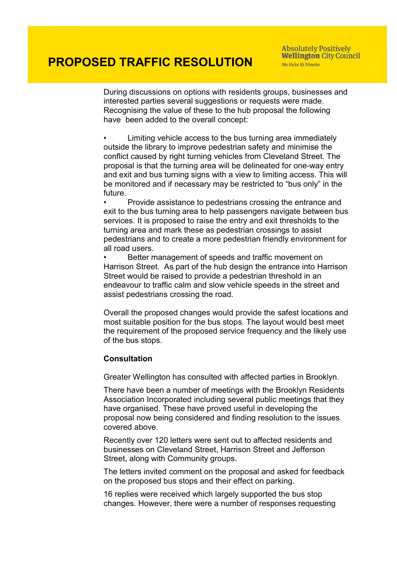During discussions on options with residents groups, businesses and interested parties several suggestions or requests were made. Recognising the value of these to the hub proposal the following have been added to the overall concept:

• Limiting vehicle access to the bus turning area immediately outside the library to improve pedestrian safety and minimise the conflict caused by right turning vehicles from Cleveland Street. The proposal is that the turning area will be delineated for one-way entry and exit and bus turning signs with a view to limiting access. This will be monitored and if necessary may be restricted to "bus only" in the future.

• Provide assistance to pedestrians crossing the entrance and exit to the bus turning area to help passengers navigate between bus services. It is proposed to raise the entry and exit thresholds to the turning area and mark these as pedestrian crossings to assist pedestrians and to create a more pedestrian friendly environment for all road users.

• Better management of speeds and traffic movement on Harrison Street. As part of the hub design the entrance into Harrison Street would be raised to provide a pedestrian threshold in an endeavour to traffic calm and slow vehicle speeds in the street and assist pedestrians crossing the road.

Overall the proposed changes would provide the safest locations and most suitable position for the bus stops. The layout would best meet the requirement of the proposed service frequency and the likely use of the bus stops.

### **Consultation**

Greater Wellington has consulted with affected parties in Brooklyn.

There have been a number of meetings with the Brooklyn Residents Association Incorporated including several public meetings that they have organised. These have proved useful in developing the proposal now being considered and finding resolution to the issues covered above.

Recently over 120 letters were sent out to affected residents and businesses on Cleveland Street, Harrison Street and Jefferson Street, along with Community groups.

The letters invited comment on the proposal and asked for feedback on the proposed bus stops and their effect on parking.

16 replies were received which largely supported the bus stop changes. However, there were a number of responses requesting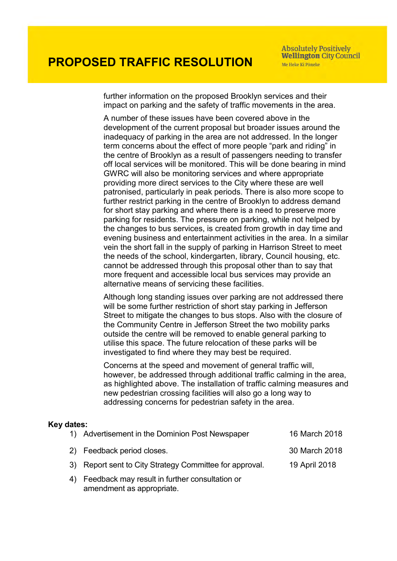further information on the proposed Brooklyn services and their impact on parking and the safety of traffic movements in the area.

A number of these issues have been covered above in the development of the current proposal but broader issues around the inadequacy of parking in the area are not addressed. In the longer term concerns about the effect of more people "park and riding" in the centre of Brooklyn as a result of passengers needing to transfer off local services will be monitored. This will be done bearing in mind GWRC will also be monitoring services and where appropriate providing more direct services to the City where these are well patronised, particularly in peak periods. There is also more scope to further restrict parking in the centre of Brooklyn to address demand for short stay parking and where there is a need to preserve more parking for residents. The pressure on parking, while not helped by the changes to bus services, is created from growth in day time and evening business and entertainment activities in the area. In a similar vein the short fall in the supply of parking in Harrison Street to meet the needs of the school, kindergarten, library, Council housing, etc. cannot be addressed through this proposal other than to say that more frequent and accessible local bus services may provide an alternative means of servicing these facilities.

Although long standing issues over parking are not addressed there will be some further restriction of short stay parking in Jefferson Street to mitigate the changes to bus stops. Also with the closure of the Community Centre in Jefferson Street the two mobility parks outside the centre will be removed to enable general parking to utilise this space. The future relocation of these parks will be investigated to find where they may best be required.

Concerns at the speed and movement of general traffic will, however, be addressed through additional traffic calming in the area, as highlighted above. The installation of traffic calming measures and new pedestrian crossing facilities will also go a long way to addressing concerns for pedestrian safety in the area.

### **Key dates:**

amendment as appropriate.

| 1) Advertisement in the Dominion Post Newspaper         | 16 March 2018 |
|---------------------------------------------------------|---------------|
| 2) Feedback period closes.                              | 30 March 2018 |
| 3) Report sent to City Strategy Committee for approval. | 19 April 2018 |
| 4) Feedback may result in further consultation or       |               |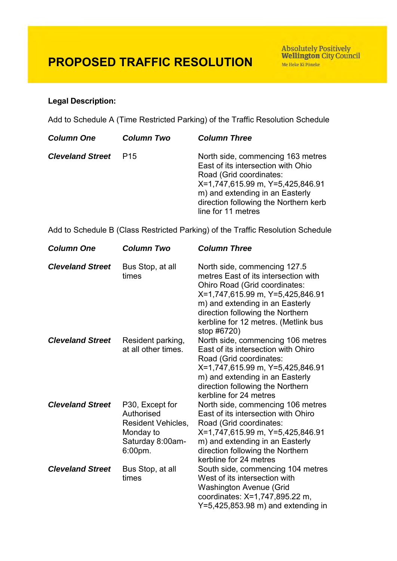### **Legal Description:**

Add to Schedule A (Time Restricted Parking) of the Traffic Resolution Schedule

| <b>Column One</b>       | <b>Column Two</b> | <b>Column Three</b>                                                                                                                                                                                                                      |
|-------------------------|-------------------|------------------------------------------------------------------------------------------------------------------------------------------------------------------------------------------------------------------------------------------|
| <b>Cleveland Street</b> | P <sub>15</sub>   | North side, commencing 163 metres<br>East of its intersection with Ohio<br>Road (Grid coordinates:<br>X=1,747,615.99 m, Y=5,425,846.91<br>m) and extending in an Easterly<br>direction following the Northern kerb<br>line for 11 metres |
|                         |                   |                                                                                                                                                                                                                                          |

Add to Schedule B (Class Restricted Parking) of the Traffic Resolution Schedule

| <b>Column One</b>       | <b>Column Two</b>                                                                                         | <b>Column Three</b>                                                                                                                                                                                                                                                     |
|-------------------------|-----------------------------------------------------------------------------------------------------------|-------------------------------------------------------------------------------------------------------------------------------------------------------------------------------------------------------------------------------------------------------------------------|
| <b>Cleveland Street</b> | Bus Stop, at all<br>times                                                                                 | North side, commencing 127.5<br>metres East of its intersection with<br>Ohiro Road (Grid coordinates:<br>X=1,747,615.99 m, Y=5,425,846.91<br>m) and extending in an Easterly<br>direction following the Northern<br>kerbline for 12 metres. (Metlink bus<br>stop #6720) |
| <b>Cleveland Street</b> | Resident parking,<br>at all other times.                                                                  | North side, commencing 106 metres<br>East of its intersection with Ohiro<br>Road (Grid coordinates:<br>X=1,747,615.99 m, Y=5,425,846.91<br>m) and extending in an Easterly<br>direction following the Northern<br>kerbline for 24 metres                                |
| <b>Cleveland Street</b> | P30, Except for<br>Authorised<br><b>Resident Vehicles,</b><br>Monday to<br>Saturday 8:00am-<br>$6:00$ pm. | North side, commencing 106 metres<br>East of its intersection with Ohiro<br>Road (Grid coordinates:<br>X=1,747,615.99 m, Y=5,425,846.91<br>m) and extending in an Easterly<br>direction following the Northern<br>kerbline for 24 metres                                |
| <b>Cleveland Street</b> | Bus Stop, at all<br>times                                                                                 | South side, commencing 104 metres<br>West of its intersection with<br><b>Washington Avenue (Grid</b><br>coordinates: X=1,747,895.22 m,<br>$Y=5,425,853.98$ m) and extending in                                                                                          |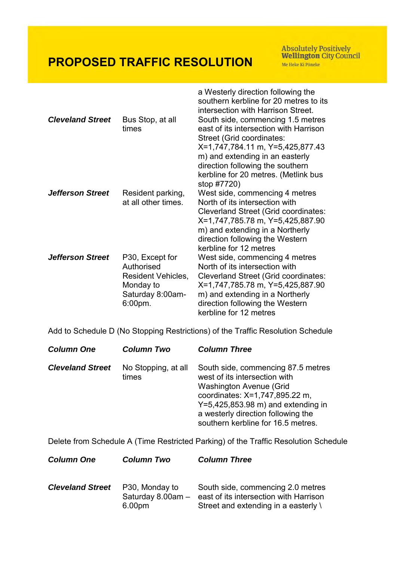Absolutely Positively<br>Wellington City Council Me Heke Ki Põneke

| <b>Cleveland Street</b> | Bus Stop, at all<br>times                                                                                 | a Westerly direction following the<br>southern kerbline for 20 metres to its<br>intersection with Harrison Street.<br>South side, commencing 1.5 metres<br>east of its intersection with Harrison<br>Street (Grid coordinates:<br>X=1,747,784.11 m, Y=5,425,877.43<br>m) and extending in an easterly<br>direction following the southern<br>kerbline for 20 metres. (Metlink bus<br>stop #7720) |
|-------------------------|-----------------------------------------------------------------------------------------------------------|--------------------------------------------------------------------------------------------------------------------------------------------------------------------------------------------------------------------------------------------------------------------------------------------------------------------------------------------------------------------------------------------------|
| <b>Jefferson Street</b> | Resident parking,<br>at all other times.                                                                  | West side, commencing 4 metres<br>North of its intersection with<br><b>Cleverland Street (Grid coordinates:</b><br>X=1,747,785.78 m, Y=5,425,887.90<br>m) and extending in a Northerly<br>direction following the Western<br>kerbline for 12 metres                                                                                                                                              |
| <b>Jefferson Street</b> | P30, Except for<br>Authorised<br><b>Resident Vehicles,</b><br>Monday to<br>Saturday 8:00am-<br>$6:00$ pm. | West side, commencing 4 metres<br>North of its intersection with<br><b>Cleverland Street (Grid coordinates:</b><br>X=1,747,785.78 m, Y=5,425,887.90<br>m) and extending in a Northerly<br>direction following the Western<br>kerbline for 12 metres                                                                                                                                              |

Add to Schedule D (No Stopping Restrictions) of the Traffic Resolution Schedule

| <b>Column One</b>       | <b>Column Two</b>            | <b>Column Three</b>                                                                                                                                                                                                                                         |
|-------------------------|------------------------------|-------------------------------------------------------------------------------------------------------------------------------------------------------------------------------------------------------------------------------------------------------------|
| <b>Cleveland Street</b> | No Stopping, at all<br>times | South side, commencing 87.5 metres<br>west of its intersection with<br><b>Washington Avenue (Grid</b><br>coordinates: X=1,747,895.22 m,<br>$Y=5,425,853.98$ m) and extending in<br>a westerly direction following the<br>southern kerbline for 16.5 metres. |

Delete from Schedule A (Time Restricted Parking) of the Traffic Resolution Schedule

| <b>Column One</b>       | <b>Column Two</b>                             | <b>Column Three</b>                                                                                                           |
|-------------------------|-----------------------------------------------|-------------------------------------------------------------------------------------------------------------------------------|
| <b>Cleveland Street</b> | P30, Monday to<br>Saturday 8.00am -<br>6.00pm | South side, commencing 2.0 metres<br>east of its intersection with Harrison<br>Street and extending in a easterly $\setminus$ |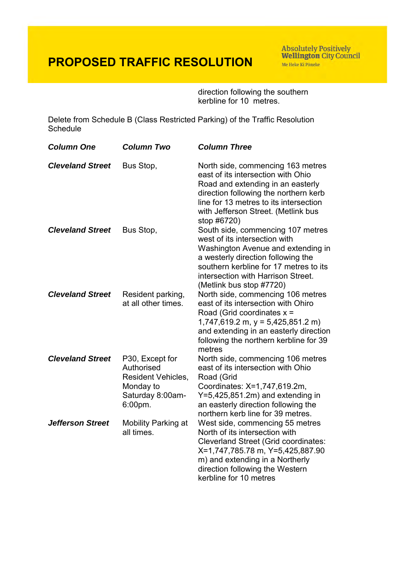Absolutely Positively<br>Wellington City Council Me Heke Ki Põneke

direction following the southern kerbline for 10 metres.

Delete from Schedule B (Class Restricted Parking) of the Traffic Resolution **Schedule** 

| <b>Column One</b>       | <b>Column Two</b>                                                                                      | <b>Column Three</b>                                                                                                                                                                                                                                        |
|-------------------------|--------------------------------------------------------------------------------------------------------|------------------------------------------------------------------------------------------------------------------------------------------------------------------------------------------------------------------------------------------------------------|
| <b>Cleveland Street</b> | Bus Stop,                                                                                              | North side, commencing 163 metres<br>east of its intersection with Ohio<br>Road and extending in an easterly<br>direction following the northern kerb<br>line for 13 metres to its intersection<br>with Jefferson Street. (Metlink bus<br>stop #6720)      |
| <b>Cleveland Street</b> | Bus Stop,                                                                                              | South side, commencing 107 metres<br>west of its intersection with<br>Washington Avenue and extending in<br>a westerly direction following the<br>southern kerbline for 17 metres to its<br>intersection with Harrison Street.<br>(Metlink bus stop #7720) |
| <b>Cleveland Street</b> | Resident parking,<br>at all other times.                                                               | North side, commencing 106 metres<br>east of its intersection with Ohiro<br>Road (Grid coordinates $x =$<br>$1,747,619.2$ m, y = 5,425,851.2 m)<br>and extending in an easterly direction<br>following the northern kerbline for 39<br>metres              |
| <b>Cleveland Street</b> | P30, Except for<br>Authorised<br><b>Resident Vehicles,</b><br>Monday to<br>Saturday 8:00am-<br>6:00pm. | North side, commencing 106 metres<br>east of its intersection with Ohio<br>Road (Grid<br>Coordinates: X=1,747,619.2m,<br>$Y=5,425,851.2m$ ) and extending in<br>an easterly direction following the<br>northern kerb line for 39 metres.                   |
| <b>Jefferson Street</b> | <b>Mobility Parking at</b><br>all times.                                                               | West side, commencing 55 metres<br>North of its intersection with<br><b>Cleverland Street (Grid coordinates:</b><br>X=1,747,785.78 m, Y=5,425,887.90<br>m) and extending in a Northerly<br>direction following the Western<br>kerbline for 10 metres       |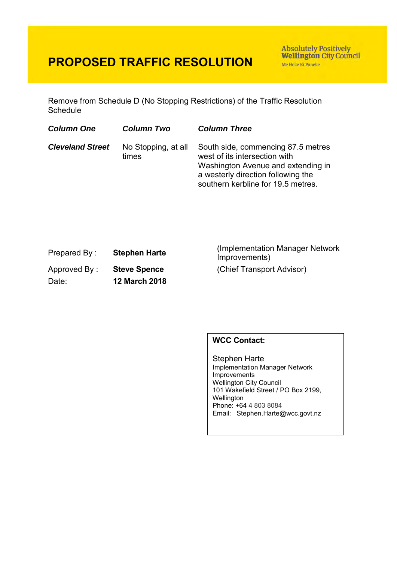**Absolutely Positively Wellington City Council** Me Heke Ki Pôneke

Remove from Schedule D (No Stopping Restrictions) of the Traffic Resolution **Schedule** 

| <b>Column One</b>       | <b>Column Two</b>            | <b>Column Three</b>                                                                                                                                                                   |
|-------------------------|------------------------------|---------------------------------------------------------------------------------------------------------------------------------------------------------------------------------------|
| <b>Cleveland Street</b> | No Stopping, at all<br>times | South side, commencing 87.5 metres<br>west of its intersection with<br>Washington Avenue and extending in<br>a westerly direction following the<br>southern kerbline for 19.5 metres. |

| Prepared By: | <b>Stephen Harte</b> |
|--------------|----------------------|
| Approved By: | <b>Steve Spence</b>  |
| Date:        | <b>12 March 2018</b> |

(Implementation Manager Network Improvements) (Chief Transport Advisor)

### **WCC Contact:**

Stephen Harte Implementation Manager Network Improvements Wellington City Council 101 Wakefield Street / PO Box 2199, Wellington Phone: +64 4 803 8084 Email: Stephen.Harte@wcc.govt.nz